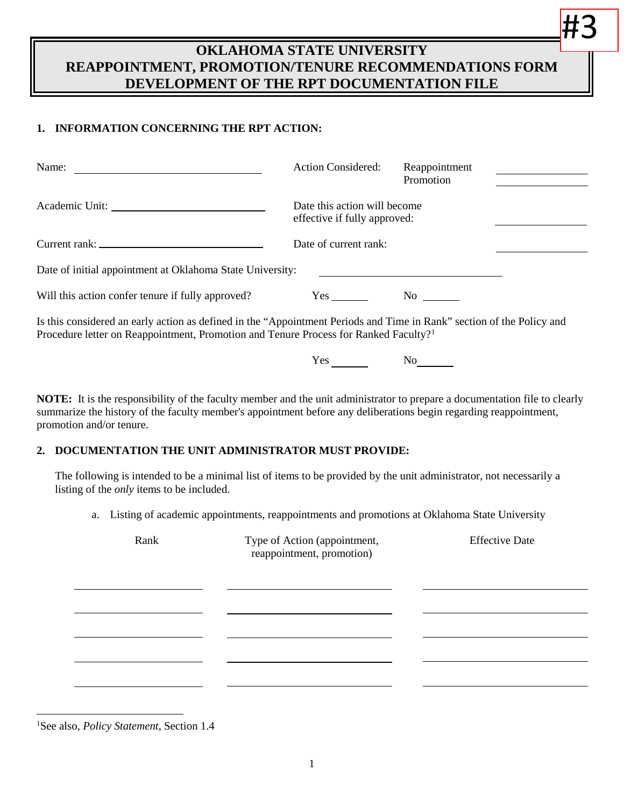# **OKLAHOMA STATE UNIVERSITY REAPPOINTMENT, PROMOTION/TENURE RECOMMENDATIONS FORM DEVELOPMENT OF THE RPT DOCUMENTATION FILE**

# **1. INFORMATION CONCERNING THE RPT ACTION:**

| Name:                                                     | <b>Action Considered:</b>                                    | Reappointment<br>Promotion |  |  |
|-----------------------------------------------------------|--------------------------------------------------------------|----------------------------|--|--|
|                                                           | Date this action will become<br>effective if fully approved: |                            |  |  |
|                                                           | Date of current rank:                                        |                            |  |  |
| Date of initial appointment at Oklahoma State University: |                                                              |                            |  |  |
| Will this action confer tenure if fully approved?         | Yes                                                          | No l                       |  |  |

Is this considered an early action as defined in the "Appointment Periods and Time in Rank" section of the Policy and Procedure letter on Reappointment, Promotion and Tenure Process for Ranked Faculty?[1](#page-0-0)

Yes No

#3

**NOTE:** It is the responsibility of the faculty member and the unit administrator to prepare a documentation file to clearly summarize the history of the faculty member's appointment before any deliberations begin regarding reappointment, promotion and/or tenure.

### **2. DOCUMENTATION THE UNIT ADMINISTRATOR MUST PROVIDE:**

The following is intended to be a minimal list of items to be provided by the unit administrator, not necessarily a listing of the *only* items to be included.

a. Listing of academic appointments, reappointments and promotions at Oklahoma State University

| Rank | Type of Action (appointment,<br>reappointment, promotion) | <b>Effective Date</b> |  |
|------|-----------------------------------------------------------|-----------------------|--|
|      |                                                           |                       |  |
|      |                                                           |                       |  |
|      |                                                           |                       |  |
|      |                                                           |                       |  |

<span id="page-0-0"></span> $\overline{a}$ 1 See also, *Policy Statement*, Section 1.4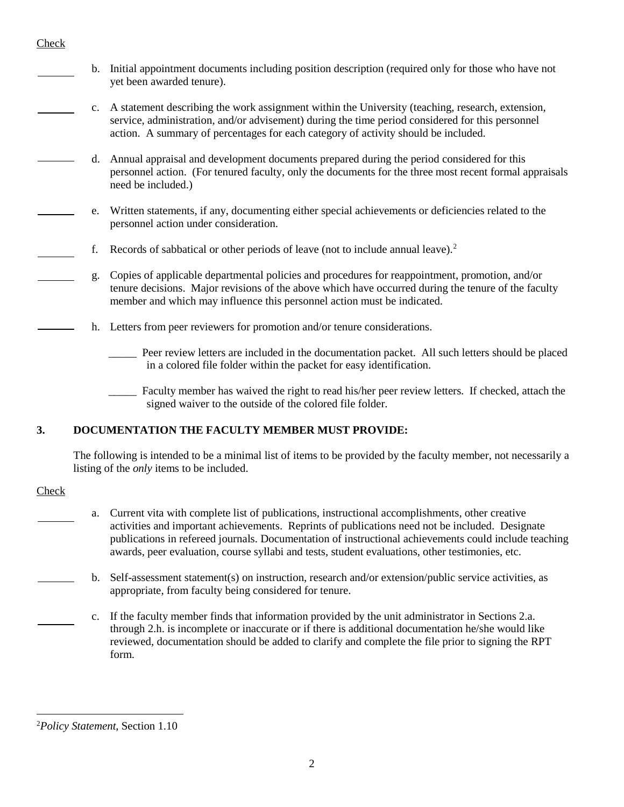#### Check

- b. Initial appointment documents including position description (required only for those who have not yet been awarded tenure).
- c. A statement describing the work assignment within the University (teaching, research, extension, service, administration, and/or advisement) during the time period considered for this personnel action. A summary of percentages for each category of activity should be included.
- d. Annual appraisal and development documents prepared during the period considered for this personnel action. (For tenured faculty, only the documents for the three most recent formal appraisals need be included.)
- e. Written statements, if any, documenting either special achievements or deficiencies related to the personnel action under consideration.
- f. Records of sabbatical or other periods of leave (not to include annual leave).[2](#page-1-0)
- g. Copies of applicable departmental policies and procedures for reappointment, promotion, and/or tenure decisions. Major revisions of the above which have occurred during the tenure of the faculty member and which may influence this personnel action must be indicated.
- h. Letters from peer reviewers for promotion and/or tenure considerations.
	- Peer review letters are included in the documentation packet. All such letters should be placed in a colored file folder within the packet for easy identification.
	- \_\_\_\_\_ Faculty member has waived the right to read his/her peer review letters. If checked, attach the signed waiver to the outside of the colored file folder.

### **3. DOCUMENTATION THE FACULTY MEMBER MUST PROVIDE:**

The following is intended to be a minimal list of items to be provided by the faculty member, not necessarily a listing of the *only* items to be included.

#### Check

 $\overline{a}$ 

- a. Current vita with complete list of publications, instructional accomplishments, other creative activities and important achievements. Reprints of publications need not be included. Designate publications in refereed journals. Documentation of instructional achievements could include teaching awards, peer evaluation, course syllabi and tests, student evaluations, other testimonies, etc.
- b. Self-assessment statement(s) on instruction, research and/or extension/public service activities, as appropriate, from faculty being considered for tenure.
- c. If the faculty member finds that information provided by the unit administrator in Sections 2.a. through 2.h. is incomplete or inaccurate or if there is additional documentation he/she would like reviewed, documentation should be added to clarify and complete the file prior to signing the RPT form.

<span id="page-1-0"></span><sup>2</sup> *Policy Statement*, Section 1.10